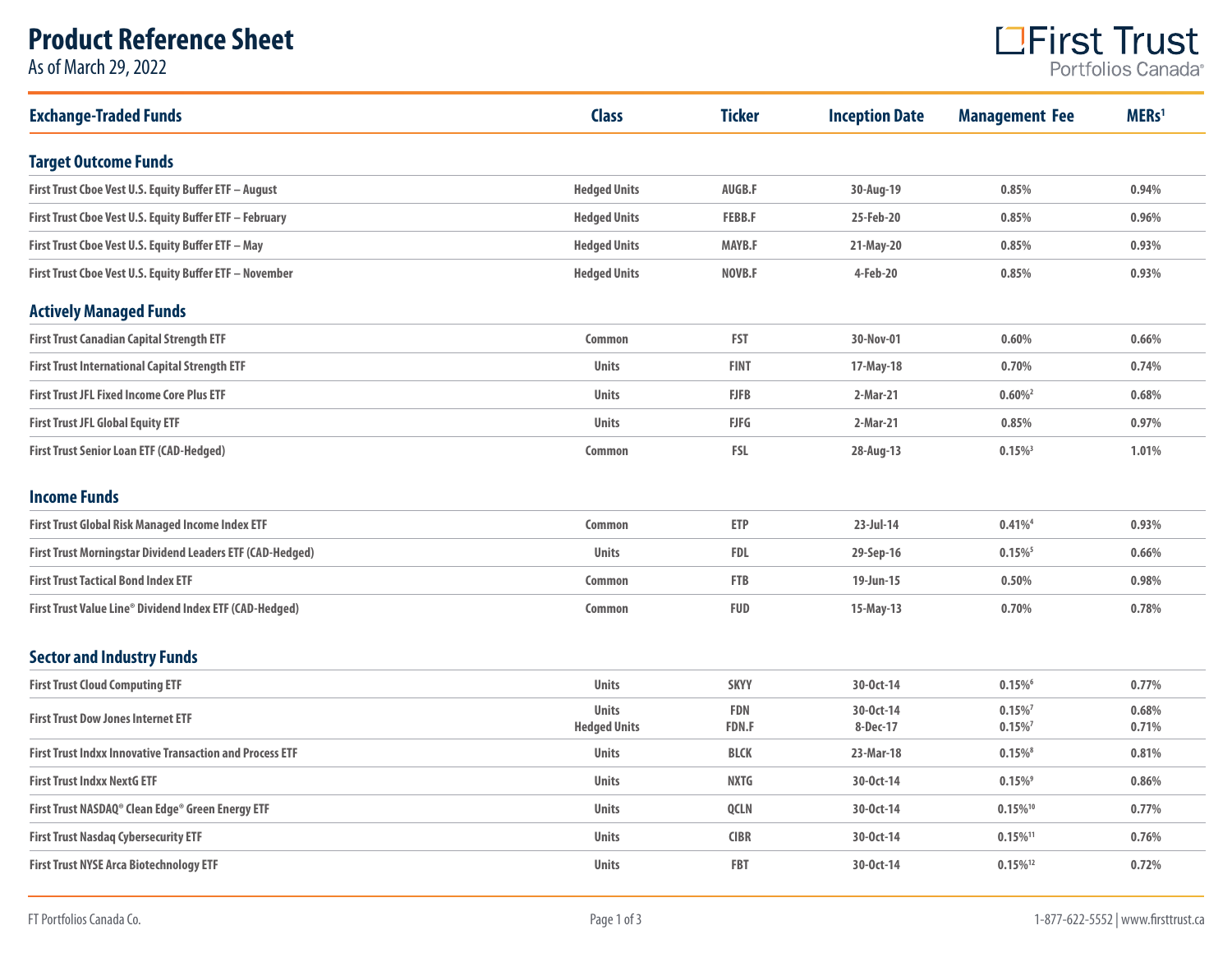# **Product Reference Sheet**

As of March 29, 2022



| <b>Exchange-Traded Funds</b>                                    | <b>Class</b>                        | <b>Ticker</b>       | <b>Inception Date</b> | <b>Management Fee</b>  | MERs <sup>1</sup> |
|-----------------------------------------------------------------|-------------------------------------|---------------------|-----------------------|------------------------|-------------------|
| <b>Target Outcome Funds</b>                                     |                                     |                     |                       |                        |                   |
| First Trust Cboe Vest U.S. Equity Buffer ETF - August           | <b>Hedged Units</b>                 | AUGB.F              | 30-Aug-19             | 0.85%                  | 0.94%             |
| First Trust Cboe Vest U.S. Equity Buffer ETF - February         | <b>Hedged Units</b>                 | <b>FEBB.F</b>       | 25-Feb-20             | 0.85%                  | 0.96%             |
| First Trust Cboe Vest U.S. Equity Buffer ETF - May              | <b>Hedged Units</b>                 | <b>MAYB.F</b>       | 21-May-20             | 0.85%                  | 0.93%             |
| First Trust Cboe Vest U.S. Equity Buffer ETF - November         | <b>Hedged Units</b>                 | NOVB.F              | 4-Feb-20              | 0.85%                  | 0.93%             |
| <b>Actively Managed Funds</b>                                   |                                     |                     |                       |                        |                   |
| <b>First Trust Canadian Capital Strength ETF</b>                | <b>Common</b>                       | <b>FST</b>          | 30-Nov-01             | 0.60%                  | 0.66%             |
| <b>First Trust International Capital Strength ETF</b>           | <b>Units</b>                        | <b>FINT</b>         | 17-May-18             | 0.70%                  | 0.74%             |
| <b>First Trust JFL Fixed Income Core Plus ETF</b>               | <b>Units</b>                        | <b>FJFB</b>         | 2-Mar-21              | $0.60\%$ <sup>2</sup>  | 0.68%             |
| <b>First Trust JFL Global Equity ETF</b>                        | <b>Units</b>                        | <b>FJFG</b>         | 2-Mar-21              | 0.85%                  | 0.97%             |
| <b>First Trust Senior Loan ETF (CAD-Hedged)</b>                 | <b>Common</b>                       | <b>FSL</b>          | 28-Aug-13             | $0.15\%$ <sup>3</sup>  | 1.01%             |
| <b>Income Funds</b>                                             |                                     |                     |                       |                        |                   |
| First Trust Global Risk Managed Income Index ETF                | <b>Common</b>                       | <b>ETP</b>          | 23-Jul-14             | $0.41\%$ <sup>4</sup>  | 0.93%             |
| First Trust Morningstar Dividend Leaders ETF (CAD-Hedged)       | <b>Units</b>                        | <b>FDL</b>          | 29-Sep-16             | $0.15\%$ <sup>5</sup>  | 0.66%             |
| <b>First Trust Tactical Bond Index ETF</b>                      | <b>Common</b>                       | <b>FTB</b>          | 19-Jun-15             | 0.50%                  | 0.98%             |
| First Trust Value Line® Dividend Index ETF (CAD-Hedged)         | <b>Common</b>                       | <b>FUD</b>          | 15-May-13             | 0.70%                  | 0.78%             |
| <b>Sector and Industry Funds</b>                                |                                     |                     |                       |                        |                   |
| <b>First Trust Cloud Computing ETF</b>                          | <b>Units</b>                        | <b>SKYY</b>         | 30-0ct-14             | $0.15\%$ <sup>6</sup>  | 0.77%             |
| <b>First Trust Dow Jones Internet ETF</b>                       | <b>Units</b><br><b>Hedged Units</b> | FDN<br><b>FDN.F</b> | 30-0ct-14<br>8-Dec-17 | $0.15\%$<br>$0.15\%$   | 0.68%<br>0.71%    |
| <b>First Trust Indxx Innovative Transaction and Process ETF</b> | <b>Units</b>                        | <b>BLCK</b>         | 23-Mar-18             | $0.15\%$ <sup>8</sup>  | 0.81%             |
| <b>First Trust Indxx NextG ETF</b>                              | <b>Units</b>                        | <b>NXTG</b>         | 30-0ct-14             | $0.15\%$ <sup>9</sup>  | 0.86%             |
| First Trust NASDAQ® Clean Edge® Green Energy ETF                | <b>Units</b>                        | <b>OCLN</b>         | 30-0ct-14             | $0.15\%$ <sup>10</sup> | 0.77%             |
| <b>First Trust Nasdaq Cybersecurity ETF</b>                     | <b>Units</b>                        | <b>CIBR</b>         | 30-0ct-14             | $0.15\%$ <sup>11</sup> | 0.76%             |
| <b>First Trust NYSE Arca Biotechnology ETF</b>                  | <b>Units</b>                        | <b>FBT</b>          | 30-0ct-14             | $0.15\%$ <sup>12</sup> | 0.72%             |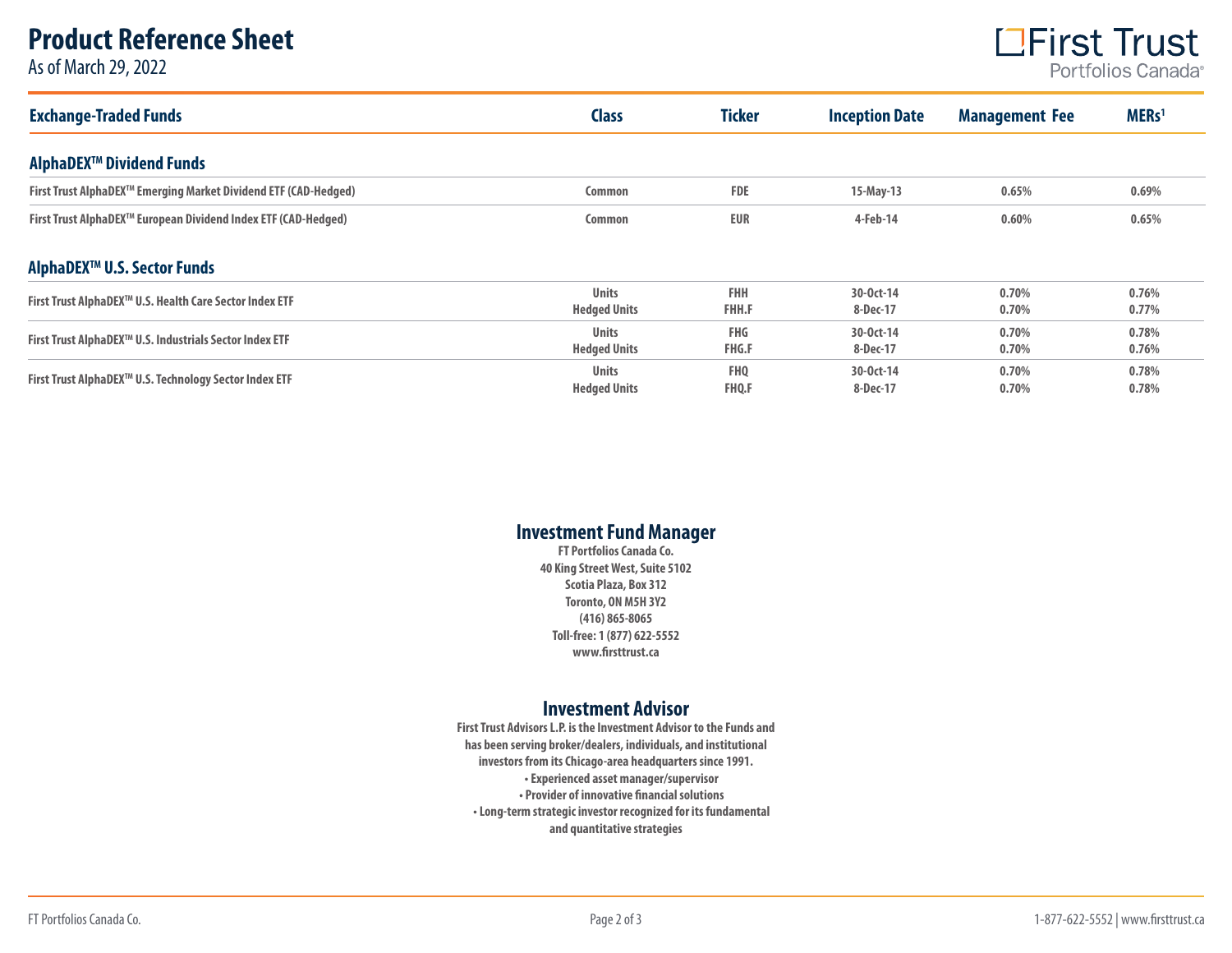### **Product Reference Sheet**

As of March 29, 2022



| <b>Exchange-Traded Funds</b>                                       | <b>Class</b>                        | <b>Ticker</b>                   | <b>Inception Date</b> | <b>Management Fee</b> | MERs <sup>1</sup> |
|--------------------------------------------------------------------|-------------------------------------|---------------------------------|-----------------------|-----------------------|-------------------|
| AlphaDEX <sup>™</sup> Dividend Funds                               |                                     |                                 |                       |                       |                   |
| First Trust AlphaDEX™ Emerging Market Dividend ETF (CAD-Hedged)    | Common                              | <b>FDE</b>                      | $15$ -May-13          | 0.65%                 | 0.69%             |
| First Trust AlphaDEX™ European Dividend Index ETF (CAD-Hedged)     | Common                              | <b>EUR</b>                      | 4-Feb-14              | 0.60%                 | 0.65%             |
| AlphaDEX <sup>™</sup> U.S. Sector Funds                            |                                     |                                 |                       |                       |                   |
| First Trust AlphaDEX™ U.S. Health Care Sector Index ETF            | <b>Units</b><br><b>Hedged Units</b> | <b>FHH</b><br><b>FHH.F</b>      | 30-0ct-14<br>8-Dec-17 | 0.70%<br>0.70%        | 0.76%<br>0.77%    |
| First Trust AlphaDEX™ U.S. Industrials Sector Index ETF            | <b>Units</b><br><b>Hedged Units</b> | <b>FHG</b><br><b>FHG.F</b>      | 30-0ct-14<br>8-Dec-17 | 0.70%<br>0.70%        | 0.78%<br>0.76%    |
| First Trust AlphaDEX <sup>™</sup> U.S. Technology Sector Index ETF | <b>Units</b><br><b>Hedged Units</b> | FH <sub>0</sub><br><b>FHQ.F</b> | 30-0ct-14<br>8-Dec-17 | 0.70%<br>0.70%        | 0.78%<br>0.78%    |

### **Investment Fund Manager**

**FT Portfolios Canada Co. 40 King Street West, Suite 5102 Scotia Plaza, Box 312 Toronto, ON M5H 3Y2 (416) 865-8065 Toll-free: 1 (877) 622-5552 www.firsttrust.ca**

#### **Investment Advisor**

**First Trust Advisors L.P. is the Investment Advisor to the Funds and has been serving broker/dealers, individuals, and institutional investors from its Chicago-area headquarters since 1991. • Experienced asset manager/supervisor • Provider of innovative financial solutions • Long-term strategic investor recognized for its fundamental and quantitative strategies**